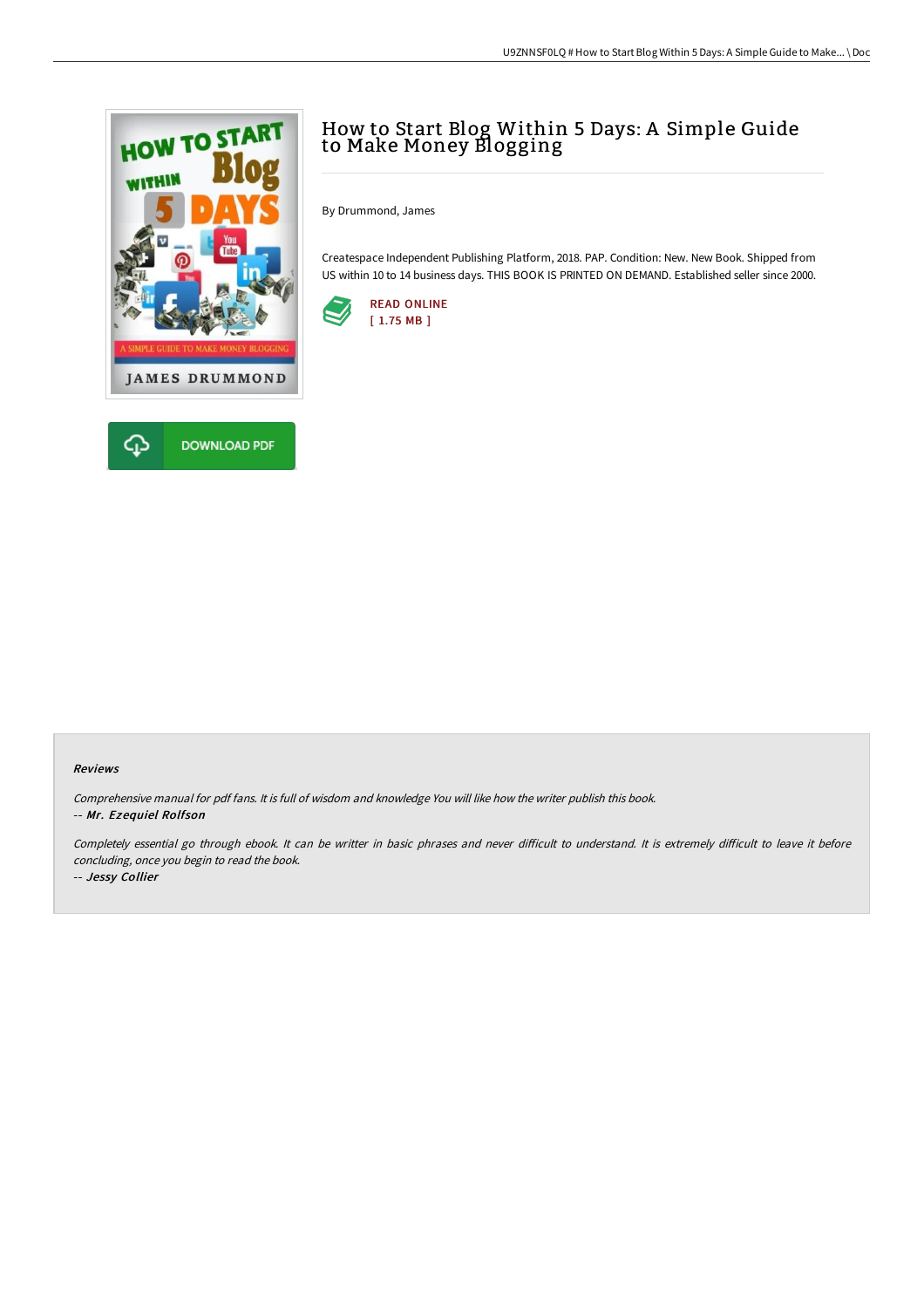

## How to Start Blog Within 5 Days: A Simple Guide to Make Money Blogging

By Drummond, James

Createspace Independent Publishing Platform, 2018. PAP. Condition: New. New Book. Shipped from US within 10 to 14 business days. THIS BOOK IS PRINTED ON DEMAND. Established seller since 2000.



## Reviews

Comprehensive manual for pdf fans. It is full of wisdom and knowledge You will like how the writer publish this book. -- Mr. Ezequiel Rolfson

Completely essential go through ebook. It can be writter in basic phrases and never difficult to understand. It is extremely difficult to leave it before concluding, once you begin to read the book. -- Jessy Collier